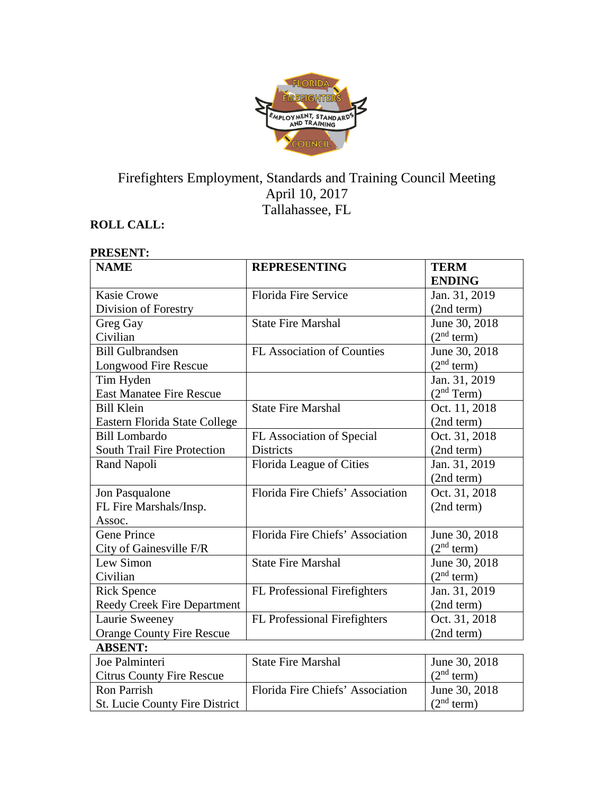

# Firefighters Employment, Standards and Training Council Meeting April 10, 2017 Tallahassee, FL

## **ROLL CALL:**

#### **PRESENT: NAME REPRESENTING TERM ENDING** Kasie Crowe Division of Forestry Florida Fire Service Jan. 31, 2019 (2nd term) Greg Gay Civilian State Fire Marshal June 30, 2018  $\frac{(2^{nd} \text{ term})}{\text{June } 30, 2018}$ Bill Gulbrandsen Longwood Fire Rescue FL Association of Counties  $(2<sup>nd</sup> term)$ Tim Hyden East Manatee Fire Rescue Jan. 31, 2019  $(2<sup>nd</sup> Term)$ Bill Klein Eastern Florida State College State Fire Marshal  $\vert$  Oct. 11, 2018 (2nd term) Bill Lombardo South Trail Fire Protection FL Association of Special **Districts** Oct. 31, 2018 (2nd term) Rand Napoli Florida League of Cities Jan. 31, 2019 (2nd term) Jon Pasqualone FL Fire Marshals/Insp. Assoc. Florida Fire Chiefs' Association | Oct. 31, 2018 (2nd term) Gene Prince City of Gainesville F/R Florida Fire Chiefs' Association | June 30, 2018  $(2<sup>nd</sup> term)$ Lew Simon Civilian State Fire Marshal June 30, 2018  $(2<sup>nd</sup> term)$ Rick Spence Reedy Creek Fire Department FL Professional Firefighters Jan. 31, 2019 (2nd term) Laurie Sweeney Orange County Fire Rescue FL Professional Firefighters | Oct. 31, 2018 (2nd term) **ABSENT:** Joe Palminteri Citrus County Fire Rescue State Fire Marshal June 30, 2018  $(2<sup>nd</sup> term)$ Ron Parrish Florida Fire Chiefs' Association June 30, 2018

 $(2<sup>nd</sup> term)$ 

St. Lucie County Fire District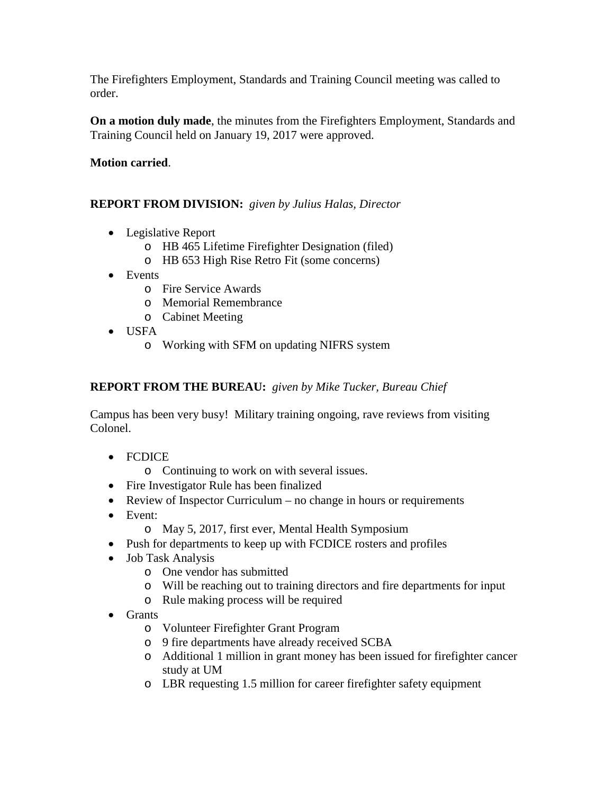The Firefighters Employment, Standards and Training Council meeting was called to order.

**On a motion duly made**, the minutes from the Firefighters Employment, Standards and Training Council held on January 19, 2017 were approved.

#### **Motion carried**.

#### **REPORT FROM DIVISION:** *given by Julius Halas, Director*

- Legislative Report
	- o HB 465 Lifetime Firefighter Designation (filed)
	- o HB 653 High Rise Retro Fit (some concerns)
- Events
	- o Fire Service Awards
	- o Memorial Remembrance
	- o Cabinet Meeting
- USFA
	- o Working with SFM on updating NIFRS system

## **REPORT FROM THE BUREAU:** *given by Mike Tucker, Bureau Chief*

Campus has been very busy! Military training ongoing, rave reviews from visiting Colonel.

- FCDICE
	- o Continuing to work on with several issues.
- Fire Investigator Rule has been finalized
- Review of Inspector Curriculum no change in hours or requirements
- Event:
	- o May 5, 2017, first ever, Mental Health Symposium
- Push for departments to keep up with FCDICE rosters and profiles
- Job Task Analysis
	- o One vendor has submitted
	- o Will be reaching out to training directors and fire departments for input
	- o Rule making process will be required
- Grants
	- o Volunteer Firefighter Grant Program
	- o 9 fire departments have already received SCBA
	- o Additional 1 million in grant money has been issued for firefighter cancer study at UM
	- o LBR requesting 1.5 million for career firefighter safety equipment